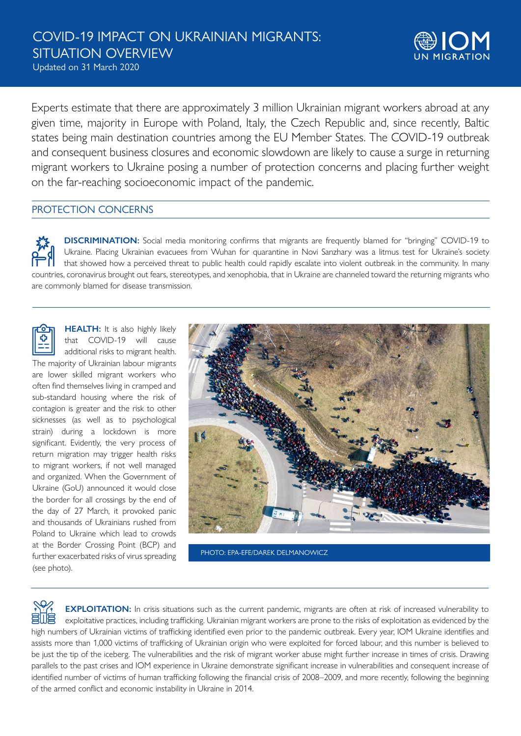Updated on 31 March 2020



Experts estimate that there are approximately 3 million Ukrainian migrant workers abroad at any given time, majority in Europe with Poland, Italy, the Czech Republic and, since recently, Baltic states being main destination countries among the EU Member States. The COVID-19 outbreak and consequent business closures and economic slowdown are likely to cause a surge in returning migrant workers to Ukraine posing a number of protection concerns and placing further weight on the far-reaching socioeconomic impact of the pandemic.

# PROTECTION CONCERNS

**DISCRIMINATION:** Social media monitoring confirms that migrants are frequently blamed for "bringing" COVID-19 to Ukraine. Placing Ukrainian evacuees from Wuhan for quarantine in Novi Sanzhary was a litmus test for Ukraine's society that showed how a perceived threat to public health could rapidly escalate into violent outbreak in the community. In many countries, coronavirus brought out fears, stereotypes, and xenophobia, that in Ukraine are channeled toward the returning migrants who are commonly blamed for disease transmission.

**HEALTH:** It is also highly likely that COVID-19 will cause additional risks to migrant health. The majority of Ukrainian labour migrants are lower skilled migrant workers who often find themselves living in cramped and sub-standard housing where the risk of contagion is greater and the risk to other sicknesses (as well as to psychological strain) during a lockdown is more significant. Evidently, the very process of return migration may trigger health risks to migrant workers, if not well managed and organized. When the Government of Ukraine (GoU) announced it would close the border for all crossings by the end of the day of 27 March, it provoked panic and thousands of Ukrainians rushed from Poland to Ukraine which lead to crowds at the Border Crossing Point (BCP) and further exacerbated risks of virus spreading (see photo).



PHOTO: EPA-EFE/DAREK DELMANOWICZ

**EXPLOITATION:** In crisis situations such as the current pandemic, migrants are often at risk of increased vulnerability to exploitative practices, including trafficking. Ukrainian migrant workers are prone to the risks of exploitation as evidenced by the high numbers of Ukrainian victims of trafficking identified even prior to the pandemic outbreak. Every year, IOM Ukraine identifies and assists more than 1,000 victims of trafficking of Ukrainian origin who were exploited for forced labour, and this number is believed to be just the tip of the iceberg. The vulnerabilities and the risk of migrant worker abuse might further increase in times of crisis. Drawing parallels to the past crises and IOM experience in Ukraine demonstrate significant increase in vulnerabilities and consequent increase of identified number of victims of human trafficking following the financial crisis of 2008–2009, and more recently, following the beginning of the armed conflict and economic instability in Ukraine in 2014.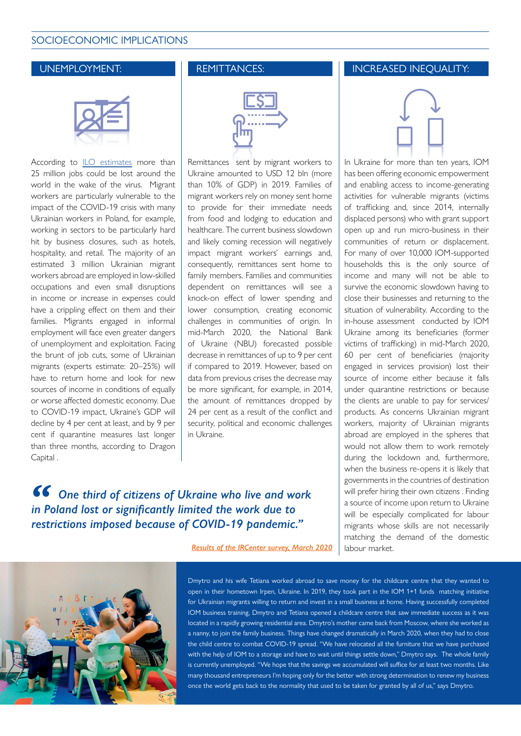# SOCIOECONOMIC IMPLICATIONS



According to [ILO estimates](https://www.reuters.com/article/us-health-coronavirus-unemployment-exclu/exclusive-coronavirus-crisis-could-destroy-far-more-than-25-million-jobs-ilo-official-idUSKBN21D2MM) more than 25 million jobs could be lost around the world in the wake of the virus. Migrant workers are particularly vulnerable to the impact of the COVID-19 crisis with many Ukrainian workers in Poland, for example, working in sectors to be particularly hard hit by business closures, such as hotels, hospitality, and retail. The majority of an estimated 3 million Ukrainian migrant workers abroad are employed in low-skilled occupations and even small disruptions in income or increase in expenses could have a crippling effect on them and their families. Migrants engaged in informal employment will face even greater dangers of unemployment and exploitation. Facing the brunt of job cuts, some of Ukrainian migrants (experts estimate: 20–25%) will have to return home and look for new sources of income in conditions of equally or worse affected domestic economy. Due to COVID-19 impact, Ukraine's GDP will decline by 4 per cent at least, and by 9 per cent if quarantine measures last longer than three months, according to Dragon Capital .

| Ш | . |  |
|---|---|--|

Remittances sent by migrant workers to Ukraine amounted to USD 12 bln (more than 10% of GDP) in 2019. Families of migrant workers rely on money sent home to provide for their immediate needs from food and lodging to education and healthcare. The current business slowdown and likely coming recession will negatively impact migrant workers' earnings and, consequently, remittances sent home to family members. Families and communities dependent on remittances will see a knock-on effect of lower spending and lower consumption, creating economic challenges in communities of origin. In mid-March 2020, the National Bank of Ukraine (NBU) forecasted possible decrease in remittances of up to 9 per cent if compared to 2019. However, based on data from previous crises the decrease may be more significant, for example, in 2014, the amount of remittances dropped by 24 per cent as a result of the conflict and security, political and economic challenges in Ukraine.

*One third of citizens of Ukraine who live and work in Poland lost or significantly limited the work due to restrictions imposed because of COVID-19 pandemic."*

*Result[s of the IRCenter survey, March 2020](https://www.wirtualnemedia.pl/artykul/ukraincy-mieszkajacy-w-polsce-dotkliwie-odczuwaja-skutki-epidemii-koronawirusa)* 

#### UNEMPLOYMENT: REMITTANCES: INCREASED INEQUALITY:



In Ukraine for more than ten years, IOM has been offering economic empowerment and enabling access to income-generating activities for vulnerable migrants (victims of trafficking and, since 2014, internally displaced persons) who with grant support open up and run micro-business in their communities of return or displacement. For many of over 10,000 IOM-supported households this is the only source of income and many will not be able to survive the economic slowdown having to close their businesses and returning to the situation of vulnerability. According to the in-house assessment conducted by IOM Ukraine among its beneficiaries (former victims of trafficking) in mid-March 2020, 60 per cent of beneficiaries (majority engaged in services provision) lost their source of income either because it falls under quarantine restrictions or because the clients are unable to pay for services/ products. As concerns Ukrainian migrant workers, majority of Ukrainian migrants abroad are employed in the spheres that would not allow them to work remotely during the lockdown and, furthermore, when the business re-opens it is likely that governments in the countries of destination will prefer hiring their own citizens . Finding a source of income upon return to Ukraine will be especially complicated for labour migrants whose skills are not necessarily matching the demand of the domestic labour market.



Dmytro and his wife Tetiana worked abroad to save money for the childcare centre that they wanted to open in their hometown Irpen, Ukraine. In 2019, they took part in the IOM 1+1 funds matching initiative for Ukrainian migrants willing to return and invest in a small business at home. Having successfully completed IOM business training, Dmytro and Tetiana opened a childcare centre that saw immediate success as it was located in a rapidly growing residential area. Dmytro's mother came back from Moscow, where she worked as a nanny, to join the family business. Things have changed dramatically in March 2020, when they had to close the child centre to combat COVID-19 spread. "We have relocated all the furniture that we have purchased with the help of IOM to a storage and have to wait until things settle down," Dmytro says. The whole family is currently unemployed. "We hope that the savings we accumulated will suffice for at least two months. Like many thousand entrepreneurs I'm hoping only for the better with strong determination to renew my business once the world gets back to the normality that used to be taken for granted by all of us," says Dmytro.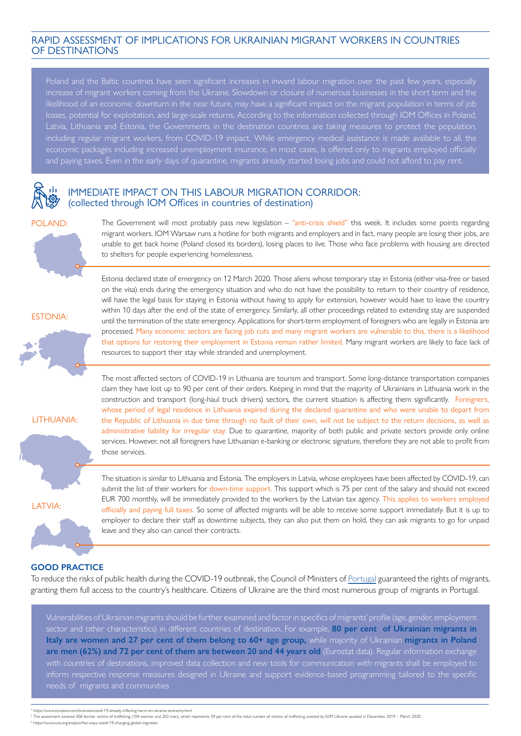# RAPID ASSESSMENT OF IMPLICATIONS FOR UKRAINIAN MIGRANT WORKERS IN COUNTRIES OF DESTINATIONS

Poland and the Baltic countries have seen significant increases in inward labour migration over the past few years, especially increase of migrant workers coming from the Ukraine. Slowdown or closure of numerous businesses in the short term and the likelihood of an economic downturn in the near future, may have a significant impact on the migrant population in terms of job losses, potential for exploitation, and large-scale returns. According to the information collected through IOM Offices in Poland, including regular migrant workers, from COVID-19 impact. While emergency medical assistance is made available to all, the economic packages including increased unemployment insurance, in most cases, is offered only to migrants employed officially and paying taxes. Even in the early days of quarantine, migrants already started losing jobs and could not afford to pay rent.



#### IMMEDIATE IMPACT ON THIS LABOUR MIGRATION CORRIDOR: (collected through IOM Offices in countries of destination)

#### POLAND:



The Government will most probably pass new legislation – "anti-crisis shield" this week. It includes some points regarding migrant workers. IOM Warsaw runs a hotline for both migrants and employers and in fact, many people are losing their jobs, are unable to get back home (Poland closed its borders), losing places to live. Those who face problems with housing are directed to shelters for people experiencing homelessness.

ESTONIA:



Estonia declared state of emergency on 12 March 2020. Those aliens whose temporary stay in Estonia (either visa-free or based on the visa) ends during the emergency situation and who do not have the possibility to return to their country of residence, will have the legal basis for staying in Estonia without having to apply for extension, however would have to leave the country within 10 days after the end of the state of emergency. Similarly, all other proceedings related to extending stay are suspended until the termination of the state emergency. Applications for short-term employment of foreigners who are legally in Estonia are processed. Many economic sectors are facing job cuts and many migrant workers are vulnerable to this, there is a likelihood that options for restoring their employment in Estonia remain rather limited. Many migrant workers are likely to face lack of resources to support their stay while stranded and unemployment.

LITHUANIA:

The most affected sectors of COVID-19 in Lithuania are tourism and transport. Some long-distance transportation companies claim they have lost up to 90 per cent of their orders. Keeping in mind that the majority of Ukrainians in Lithuania work in the construction and transport (long-haul truck drivers) sectors, the current situation is affecting them significantly. Foreigners, whose period of legal residence in Lithuania expired during the declared quarantine and who were unable to depart from the Republic of Lithuania in due time through no fault of their own, will not be subject to the return decisions, as well as administrative liability for irregular stay. Due to quarantine, majority of both public and private sectors provide only online services. However, not all foreigners have Lithuanian e-banking or electronic signature, therefore they are not able to profit from those services.

LATVIA:

The situation is similar to Lithuania and Estonia. The employers in Latvia, whose employees have been affected by COVID-19, can submit the list of their workers for down-time support. This support which is 75 per cent of the salary and should not exceed EUR 700 monthly, will be immediately provided to the workers by the Latvian tax agency. This applies to workers employed officially and paying full taxes. So some of affected migrants will be able to receive some support immediately. But it is up to employer to declare their staff as downtime subjects, they can also put them on hold, they can ask migrants to go for unpaid leave and they also can cancel their contracts.

# **GOOD PRACTICE**

To reduce the risks of public health during the COVID-19 outbreak, the Council of Ministers of [Portugal](https://www.reuters.com/article/us-health-coronavirus-portugal/portugal-to-treat-migrants-as-residents-during-coronavirus-crisis-idUSKBN21F0N7) guaranteed the rights of migrants, granting them full access to the country's healthcare. Citizens of Ukraine are the third most numerous group of migrants in Portugal.

Vulnerabilities of Ukrainian migrants should be further examined and factor in specifics of migrants' profile (age, gender, employment sector and other characteristics) in different countries of destination. For example, **80 per cent of Ukrainian migrants in Italy are women and 27 per cent of them belong to 60+ age group,** while majority of Ukrainian **migrants in Poland are men (62%) and 72 per cent of them are between 20 and 44 years old** (Eurostat data). Regular information exchange with countries of destinations, improved data collection and new tools for communication with migrants shall be employed to inform respective response measures designed in Ukraine and support evidence-based programming tailored to the specific needs of migrants and communities

https://www.kyivpost.com/business/covid-19-already-inflicting-harm-on-ukraine-economy.html<br>The assessment covered 306 former victims of trafficking (104 women and 202 men), which represents 59 per cent of the total number 3 https://www.csis.org/analysis/five-ways-covid-19-changing-global-migration